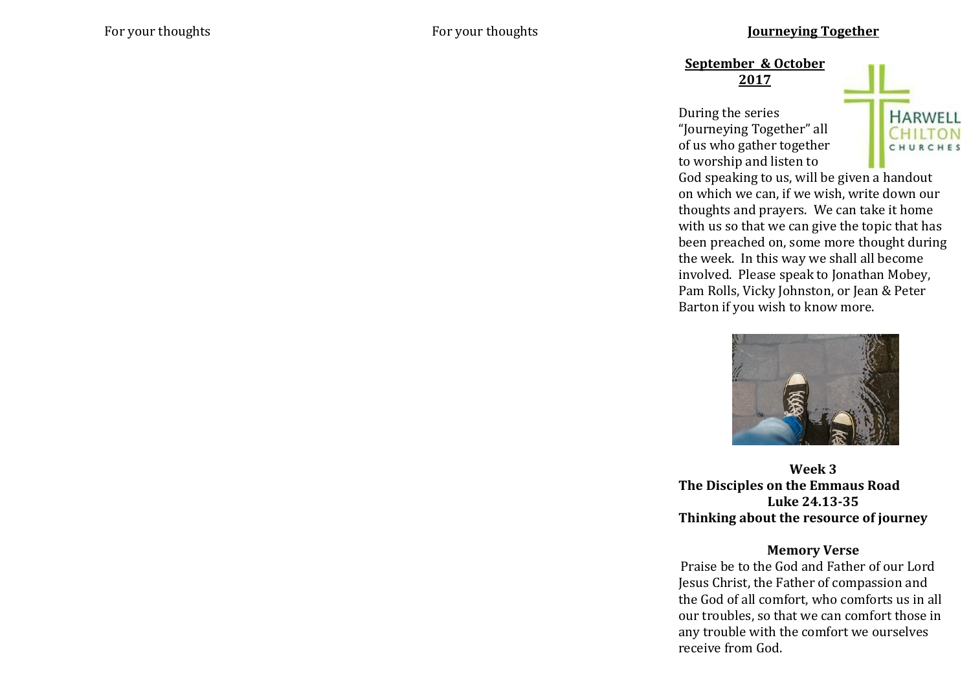**September & October 2017**

During the series "Journeying Together" all of us who gather together to worship and listen to



God speaking to us, will be given a handout on which we can, if we wish, write down our thoughts and prayers. We can take it home with us so that we can give the topic that has been preached on, some more thought during the week. In this way we shall all become involved. Please speak to Jonathan Mobey, Pam Rolls, Vicky Johnston, or Jean & Peter Barton if you wish to know more.



**Week 3 The Disciples on the Emmaus Road Luke 24.13-35 Thinking about the resource of journey**

## **Memory Verse**

Praise be to the God and Father of our Lord Jesus Christ, the Father of compassion and the God of all comfort, who comforts us in all our troubles, so that we can comfort those in any trouble with the comfort we ourselves receive from God.